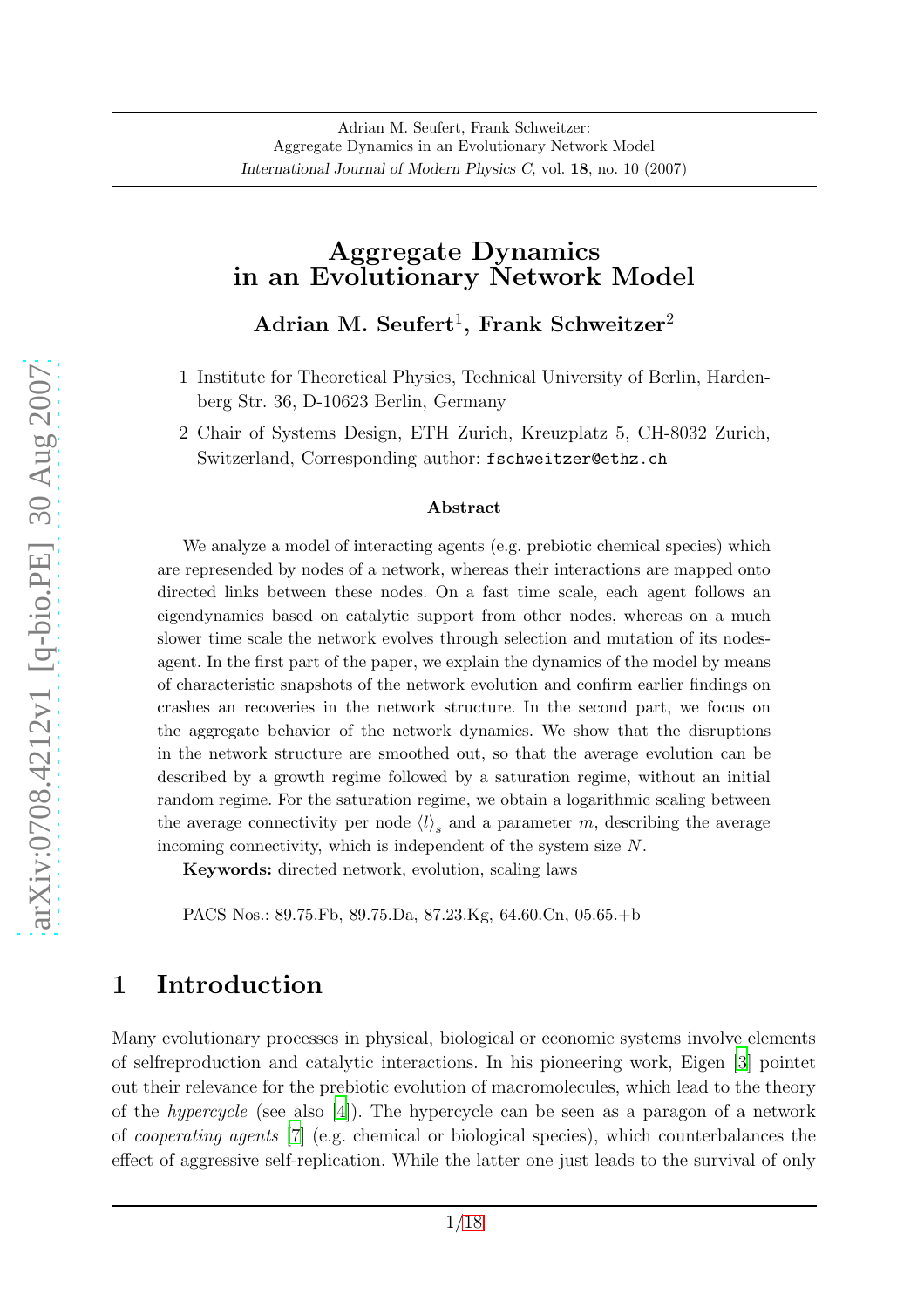#### Aggregate Dynamics in an Evolutionary Network Model

 $\operatorname{Adrian}~{\rm M.~Seufert^1,~Frank~Schweitzer^2}$ 

- 1 Institute for Theoretical Physics, Technical University of Berlin, Hardenberg Str. 36, D-10623 Berlin, Germany
- 2 Chair of Systems Design, ETH Zurich, Kreuzplatz 5, CH-8032 Zurich, Switzerland, Corresponding author: fschweitzer@ethz.ch

#### Abstract

We analyze a model of interacting agents (e.g. prebiotic chemical species) which are represended by nodes of a network, whereas their interactions are mapped onto directed links between these nodes. On a fast time scale, each agent follows an eigendynamics based on catalytic support from other nodes, whereas on a much slower time scale the network evolves through selection and mutation of its nodesagent. In the first part of the paper, we explain the dynamics of the model by means of characteristic snapshots of the network evolution and confirm earlier findings on crashes an recoveries in the network structure. In the second part, we focus on the aggregate behavior of the network dynamics. We show that the disruptions in the network structure are smoothed out, so that the average evolution can be described by a growth regime followed by a saturation regime, without an initial random regime. For the saturation regime, we obtain a logarithmic scaling between the average connectivity per node  $\langle l \rangle_s$  and a parameter m, describing the average incoming connectivity, which is independent of the system size N.

Keywords: directed network, evolution, scaling laws

PACS Nos.: 89.75.Fb, 89.75.Da, 87.23.Kg, 64.60.Cn, 05.65.+b

## <span id="page-0-0"></span>1 Introduction

Many evolutionary processes in physical, biological or economic systems involve elements of selfreproduction and catalytic interactions. In his pioneering work, Eigen [\[3](#page-15-0)] pointet out their relevance for the prebiotic evolution of macromolecules, which lead to the theory of the hypercycle (see also [\[4\]](#page-15-1)). The hypercycle can be seen as a paragon of a network of cooperating agents [\[7](#page-15-2)] (e.g. chemical or biological species), which counterbalances the effect of aggressive self-replication. While the latter one just leads to the survival of only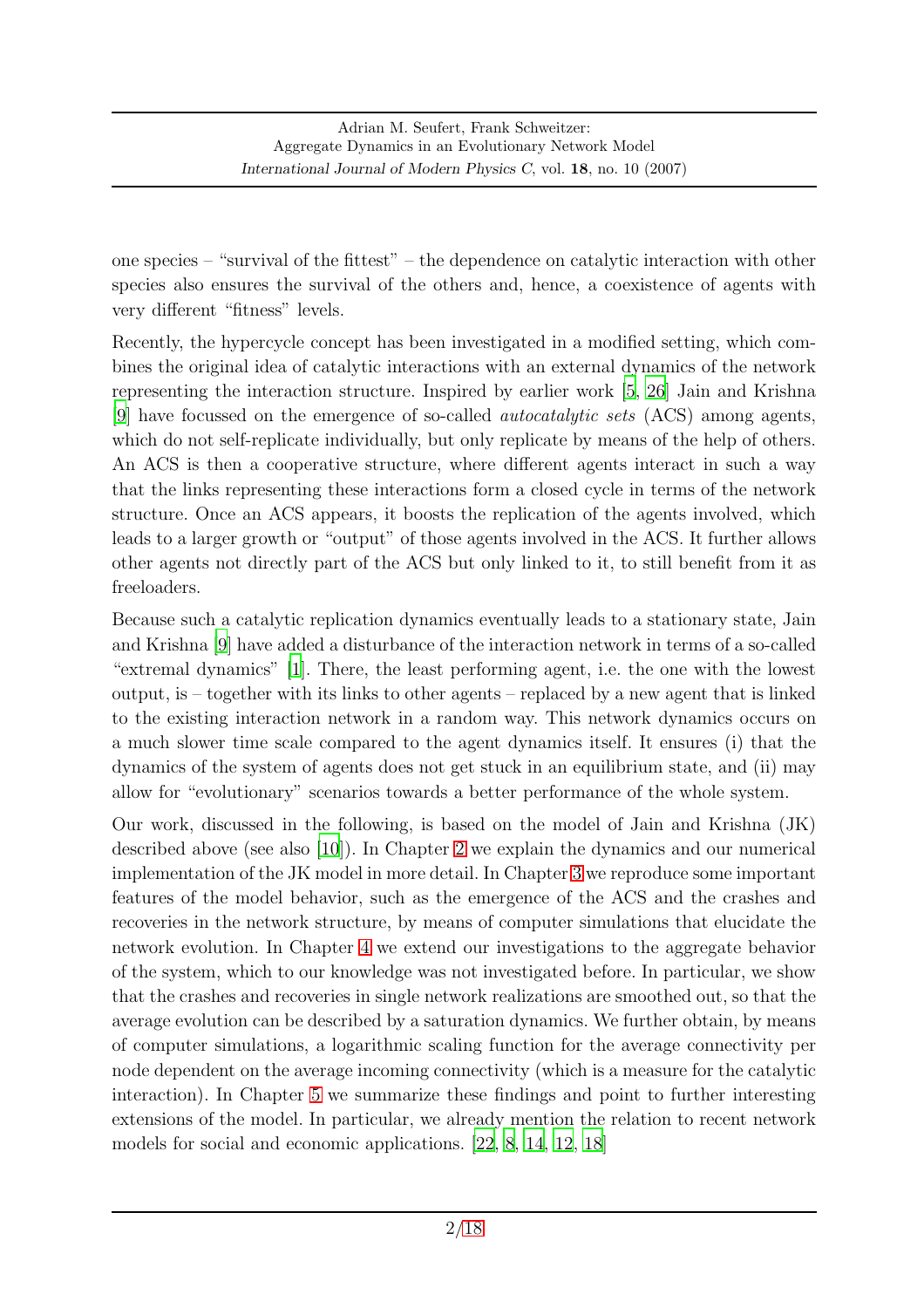one species – "survival of the fittest" – the dependence on catalytic interaction with other species also ensures the survival of the others and, hence, a coexistence of agents with very different "fitness" levels.

Recently, the hypercycle concept has been investigated in a modified setting, which combines the original idea of catalytic interactions with an external dynamics of the network representing the interaction structure. Inspired by earlier work [\[5](#page-15-3), [26](#page-17-1)] Jain and Krishna [\[9](#page-16-0)] have focussed on the emergence of so-called autocatalytic sets (ACS) among agents, which do not self-replicate individually, but only replicate by means of the help of others. An ACS is then a cooperative structure, where different agents interact in such a way that the links representing these interactions form a closed cycle in terms of the network structure. Once an ACS appears, it boosts the replication of the agents involved, which leads to a larger growth or "output" of those agents involved in the ACS. It further allows other agents not directly part of the ACS but only linked to it, to still benefit from it as freeloaders.

Because such a catalytic replication dynamics eventually leads to a stationary state, Jain and Krishna [\[9](#page-16-0)] have added a disturbance of the interaction network in terms of a so-called "extremal dynamics" [\[1\]](#page-15-4). There, the least performing agent, i.e. the one with the lowest output, is – together with its links to other agents – replaced by a new agent that is linked to the existing interaction network in a random way. This network dynamics occurs on a much slower time scale compared to the agent dynamics itself. It ensures (i) that the dynamics of the system of agents does not get stuck in an equilibrium state, and (ii) may allow for "evolutionary" scenarios towards a better performance of the whole system.

Our work, discussed in the following, is based on the model of Jain and Krishna (JK) described above (see also [\[10\]](#page-16-1)). In Chapter [2](#page-2-0) we explain the dynamics and our numerical implementation of the JK model in more detail. In Chapter [3](#page-6-0) we reproduce some important features of the model behavior, such as the emergence of the ACS and the crashes and recoveries in the network structure, by means of computer simulations that elucidate the network evolution. In Chapter [4](#page-11-0) we extend our investigations to the aggregate behavior of the system, which to our knowledge was not investigated before. In particular, we show that the crashes and recoveries in single network realizations are smoothed out, so that the average evolution can be described by a saturation dynamics. We further obtain, by means of computer simulations, a logarithmic scaling function for the average connectivity per node dependent on the average incoming connectivity (which is a measure for the catalytic interaction). In Chapter [5](#page-13-0) we summarize these findings and point to further interesting extensions of the model. In particular, we already mention the relation to recent network models for social and economic applications. [\[22](#page-17-2), [8](#page-16-2), [14](#page-16-3), [12](#page-16-4), [18\]](#page-16-5)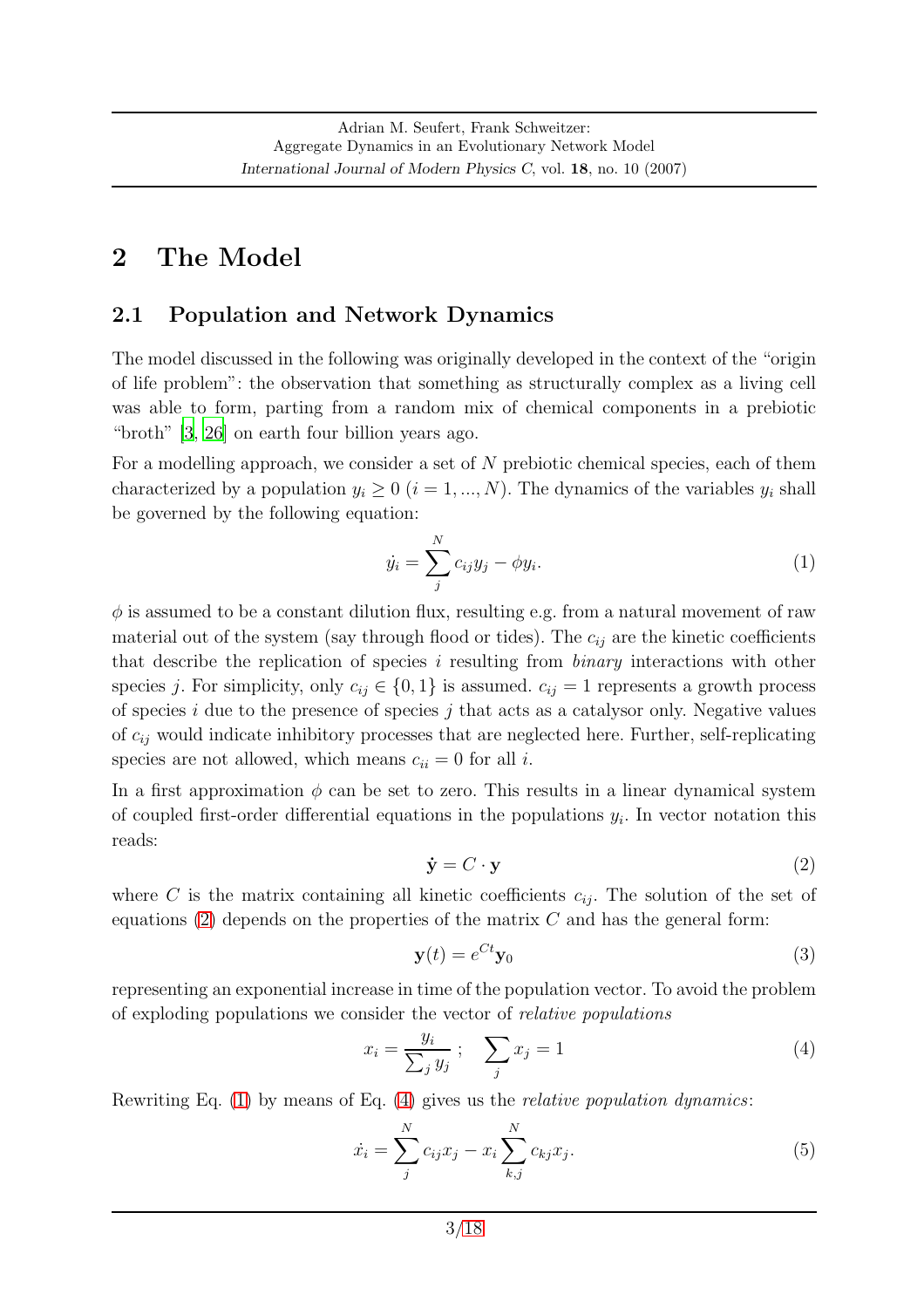## <span id="page-2-5"></span><span id="page-2-0"></span>2 The Model

#### 2.1 Population and Network Dynamics

The model discussed in the following was originally developed in the context of the "origin of life problem": the observation that something as structurally complex as a living cell was able to form, parting from a random mix of chemical components in a prebiotic "broth" [\[3,](#page-15-0) [26\]](#page-17-1) on earth four billion years ago.

For a modelling approach, we consider a set of N prebiotic chemical species, each of them characterized by a population  $y_i \geq 0$   $(i = 1, ..., N)$ . The dynamics of the variables  $y_i$  shall be governed by the following equation:

<span id="page-2-2"></span>
$$
\dot{y}_i = \sum_j^N c_{ij} y_j - \phi y_i. \tag{1}
$$

 $\phi$  is assumed to be a constant dilution flux, resulting e.g. from a natural movement of raw material out of the system (say through flood or tides). The  $c_{ij}$  are the kinetic coefficients that describe the replication of species i resulting from binary interactions with other species j. For simplicity, only  $c_{ij} \in \{0,1\}$  is assumed.  $c_{ij} = 1$  represents a growth process of species  $i$  due to the presence of species  $j$  that acts as a catalysor only. Negative values of  $c_{ij}$  would indicate inhibitory processes that are neglected here. Further, self-replicating species are not allowed, which means  $c_{ii} = 0$  for all i.

In a first approximation  $\phi$  can be set to zero. This results in a linear dynamical system of coupled first-order differential equations in the populations  $y_i$ . In vector notation this reads:

<span id="page-2-1"></span>
$$
\dot{\mathbf{y}} = C \cdot \mathbf{y} \tag{2}
$$

where C is the matrix containing all kinetic coefficients  $c_{ij}$ . The solution of the set of equations [\(2\)](#page-2-1) depends on the properties of the matrix  $C$  and has the general form:

$$
\mathbf{y}(t) = e^{Ct}\mathbf{y}_0\tag{3}
$$

representing an exponential increase in time of the population vector. To avoid the problem of exploding populations we consider the vector of relative populations

<span id="page-2-3"></span>
$$
x_i = \frac{y_i}{\sum_j y_j} \, ; \quad \sum_j x_j = 1 \tag{4}
$$

Rewriting Eq.  $(1)$  by means of Eq.  $(4)$  gives us the *relative population dynamics*:

<span id="page-2-4"></span>
$$
\dot{x}_i = \sum_{j}^{N} c_{ij} x_j - x_i \sum_{k,j}^{N} c_{kj} x_j.
$$
\n(5)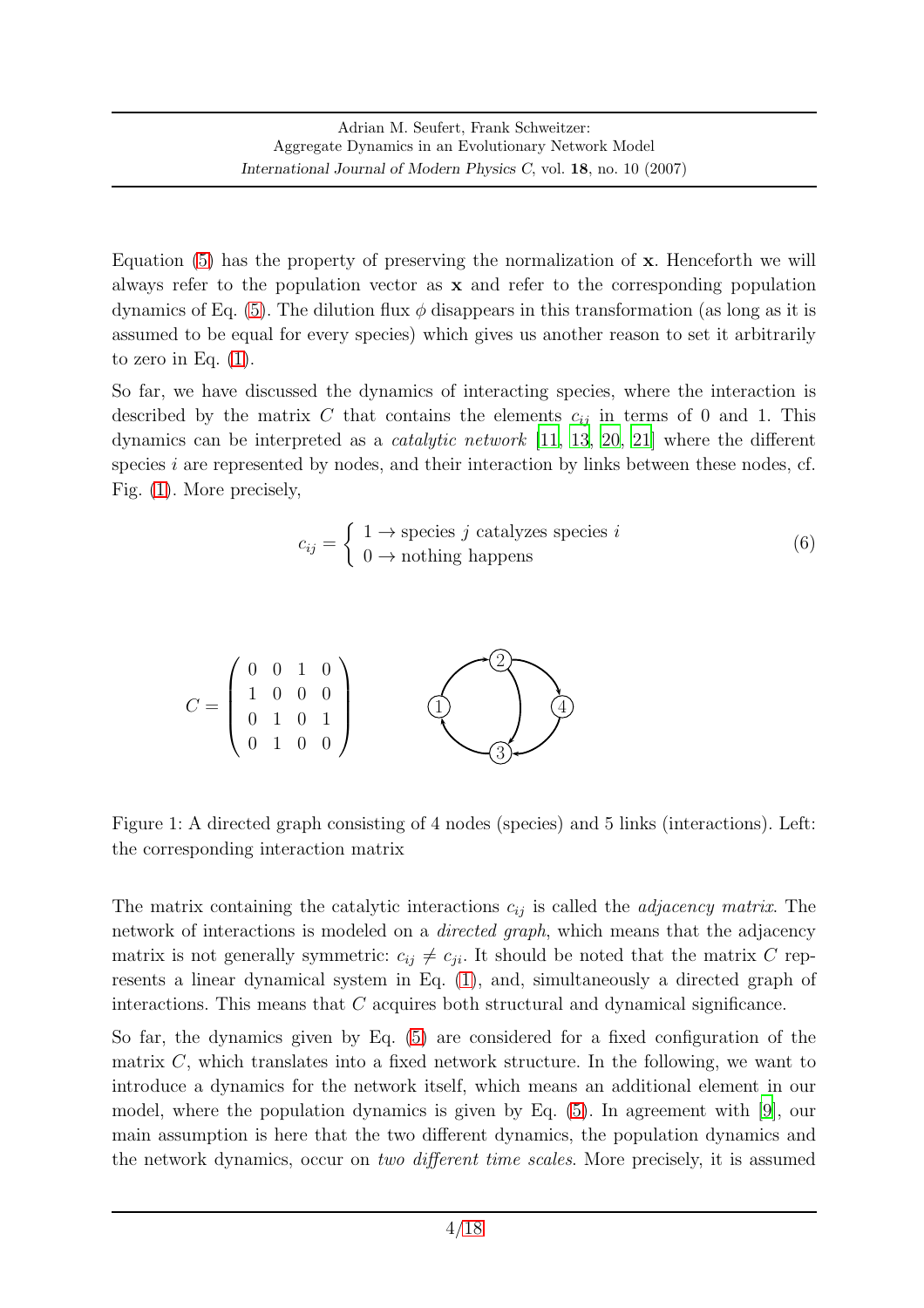Equation [\(5\)](#page-2-4) has the property of preserving the normalization of x. Henceforth we will always refer to the population vector as x and refer to the corresponding population dynamics of Eq. [\(5\)](#page-2-4). The dilution flux  $\phi$  disappears in this transformation (as long as it is assumed to be equal for every species) which gives us another reason to set it arbitrarily to zero in Eq.  $(1)$ .

So far, we have discussed the dynamics of interacting species, where the interaction is described by the matrix C that contains the elements  $c_{ij}$  in terms of 0 and 1. This dynamics can be interpreted as a catalytic network [\[11,](#page-16-6) [13,](#page-16-7) [20](#page-16-8), [21](#page-17-3)] where the different species  $i$  are represented by nodes, and their interaction by links between these nodes, cf. Fig. [\(1\)](#page-3-0). More precisely,

<span id="page-3-1"></span>
$$
c_{ij} = \begin{cases} 1 \to \text{species } j \text{ catalyzes species } i \\ 0 \to \text{nothing happens} \end{cases}
$$
 (6)



<span id="page-3-0"></span>Figure 1: A directed graph consisting of 4 nodes (species) and 5 links (interactions). Left: the corresponding interaction matrix

The matrix containing the catalytic interactions  $c_{ij}$  is called the *adjacency matrix*. The network of interactions is modeled on a *directed graph*, which means that the adjacency matrix is not generally symmetric:  $c_{ij} \neq c_{ji}$ . It should be noted that the matrix C represents a linear dynamical system in Eq. [\(1\)](#page-2-2), and, simultaneously a directed graph of interactions. This means that C acquires both structural and dynamical significance.

So far, the dynamics given by Eq. [\(5\)](#page-2-4) are considered for a fixed configuration of the matrix  $C$ , which translates into a fixed network structure. In the following, we want to introduce a dynamics for the network itself, which means an additional element in our model, where the population dynamics is given by Eq. [\(5\)](#page-2-4). In agreement with [\[9](#page-16-0)], our main assumption is here that the two different dynamics, the population dynamics and the network dynamics, occur on two different time scales. More precisely, it is assumed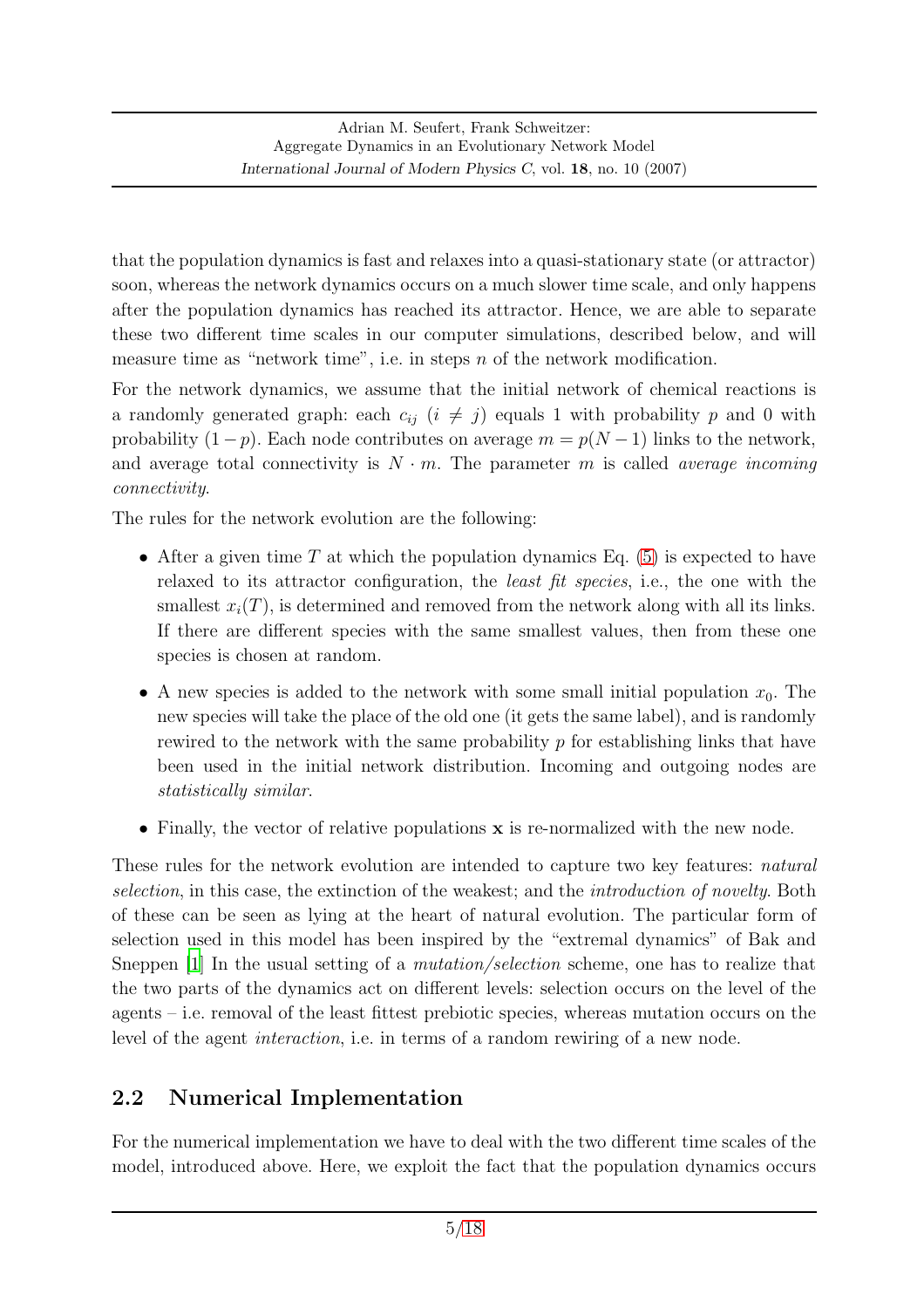that the population dynamics is fast and relaxes into a quasi-stationary state (or attractor) soon, whereas the network dynamics occurs on a much slower time scale, and only happens after the population dynamics has reached its attractor. Hence, we are able to separate these two different time scales in our computer simulations, described below, and will measure time as "network time", i.e. in steps  $n$  of the network modification.

For the network dynamics, we assume that the initial network of chemical reactions is a randomly generated graph: each  $c_{ii}$   $(i \neq j)$  equals 1 with probability p and 0 with probability  $(1-p)$ . Each node contributes on average  $m = p(N-1)$  links to the network, and average total connectivity is  $N \cdot m$ . The parameter m is called *average incoming* connectivity.

The rules for the network evolution are the following:

- After a given time T at which the population dynamics Eq.  $(5)$  is expected to have relaxed to its attractor configuration, the least fit species, i.e., the one with the smallest  $x_i(T)$ , is determined and removed from the network along with all its links. If there are different species with the same smallest values, then from these one species is chosen at random.
- A new species is added to the network with some small initial population  $x_0$ . The new species will take the place of the old one (it gets the same label), and is randomly rewired to the network with the same probability  $p$  for establishing links that have been used in the initial network distribution. Incoming and outgoing nodes are statistically similar.
- Finally, the vector of relative populations **x** is re-normalized with the new node.

These rules for the network evolution are intended to capture two key features: *natural* selection, in this case, the extinction of the weakest; and the *introduction of novelty*. Both of these can be seen as lying at the heart of natural evolution. The particular form of selection used in this model has been inspired by the "extremal dynamics" of Bak and Sneppen [\[1\]](#page-15-4) In the usual setting of a *mutation/selection* scheme, one has to realize that the two parts of the dynamics act on different levels: selection occurs on the level of the agents – i.e. removal of the least fittest prebiotic species, whereas mutation occurs on the level of the agent interaction, i.e. in terms of a random rewiring of a new node.

### <span id="page-4-0"></span>2.2 Numerical Implementation

For the numerical implementation we have to deal with the two different time scales of the model, introduced above. Here, we exploit the fact that the population dynamics occurs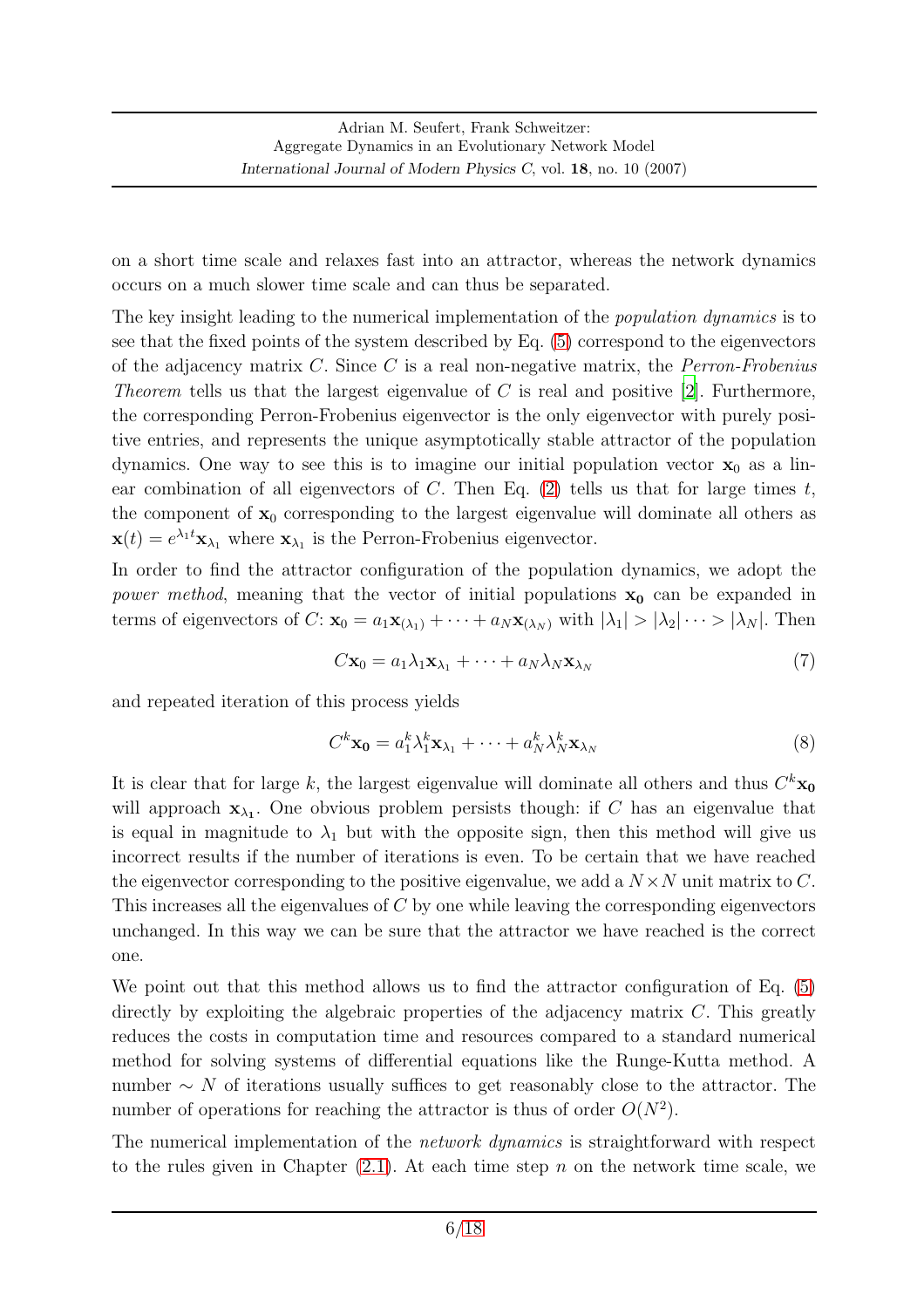on a short time scale and relaxes fast into an attractor, whereas the network dynamics occurs on a much slower time scale and can thus be separated.

The key insight leading to the numerical implementation of the *population dynamics* is to see that the fixed points of the system described by Eq. [\(5\)](#page-2-4) correspond to the eigenvectors of the adjacency matrix  $C$ . Since  $C$  is a real non-negative matrix, the *Perron-Frobenius* Theorem tells us that the largest eigenvalue of C is real and positive [\[2](#page-15-5)]. Furthermore, the corresponding Perron-Frobenius eigenvector is the only eigenvector with purely positive entries, and represents the unique asymptotically stable attractor of the population dynamics. One way to see this is to imagine our initial population vector  $x_0$  as a linear combination of all eigenvectors of C. Then Eq.  $(2)$  tells us that for large times t, the component of  $x_0$  corresponding to the largest eigenvalue will dominate all others as  $\mathbf{x}(t) = e^{\lambda_1 t} \mathbf{x}_{\lambda_1}$  where  $\mathbf{x}_{\lambda_1}$  is the Perron-Frobenius eigenvector.

In order to find the attractor configuration of the population dynamics, we adopt the *power method*, meaning that the vector of initial populations  $x_0$  can be expanded in terms of eigenvectors of  $C: \mathbf{x}_0 = a_1 \mathbf{x}_{(\lambda_1)} + \cdots + a_N \mathbf{x}_{(\lambda_N)}$  with  $|\lambda_1| > |\lambda_2| \cdots > |\lambda_N|$ . Then

$$
C\mathbf{x}_0 = a_1\lambda_1\mathbf{x}_{\lambda_1} + \dots + a_N\lambda_N\mathbf{x}_{\lambda_N}
$$
\n<sup>(7)</sup>

and repeated iteration of this process yields

<span id="page-5-0"></span>
$$
C^k \mathbf{x_0} = a_1^k \lambda_1^k \mathbf{x}_{\lambda_1} + \dots + a_N^k \lambda_N^k \mathbf{x}_{\lambda_N}
$$
\n<sup>(8)</sup>

It is clear that for large k, the largest eigenvalue will dominate all others and thus  $C^k \mathbf{x_0}$ will approach  $\mathbf{x}_{\lambda_1}$ . One obvious problem persists though: if C has an eigenvalue that is equal in magnitude to  $\lambda_1$  but with the opposite sign, then this method will give us incorrect results if the number of iterations is even. To be certain that we have reached the eigenvector corresponding to the positive eigenvalue, we add a  $N \times N$  unit matrix to C. This increases all the eigenvalues of C by one while leaving the corresponding eigenvectors unchanged. In this way we can be sure that the attractor we have reached is the correct one.

We point out that this method allows us to find the attractor configuration of Eq.  $(5)$ directly by exploiting the algebraic properties of the adjacency matrix  $C$ . This greatly reduces the costs in computation time and resources compared to a standard numerical method for solving systems of differential equations like the Runge-Kutta method. A number  $\sim N$  of iterations usually suffices to get reasonably close to the attractor. The number of operations for reaching the attractor is thus of order  $O(N^2)$ .

The numerical implementation of the *network dynamics* is straightforward with respect to the rules given in Chapter  $(2.1)$ . At each time step n on the network time scale, we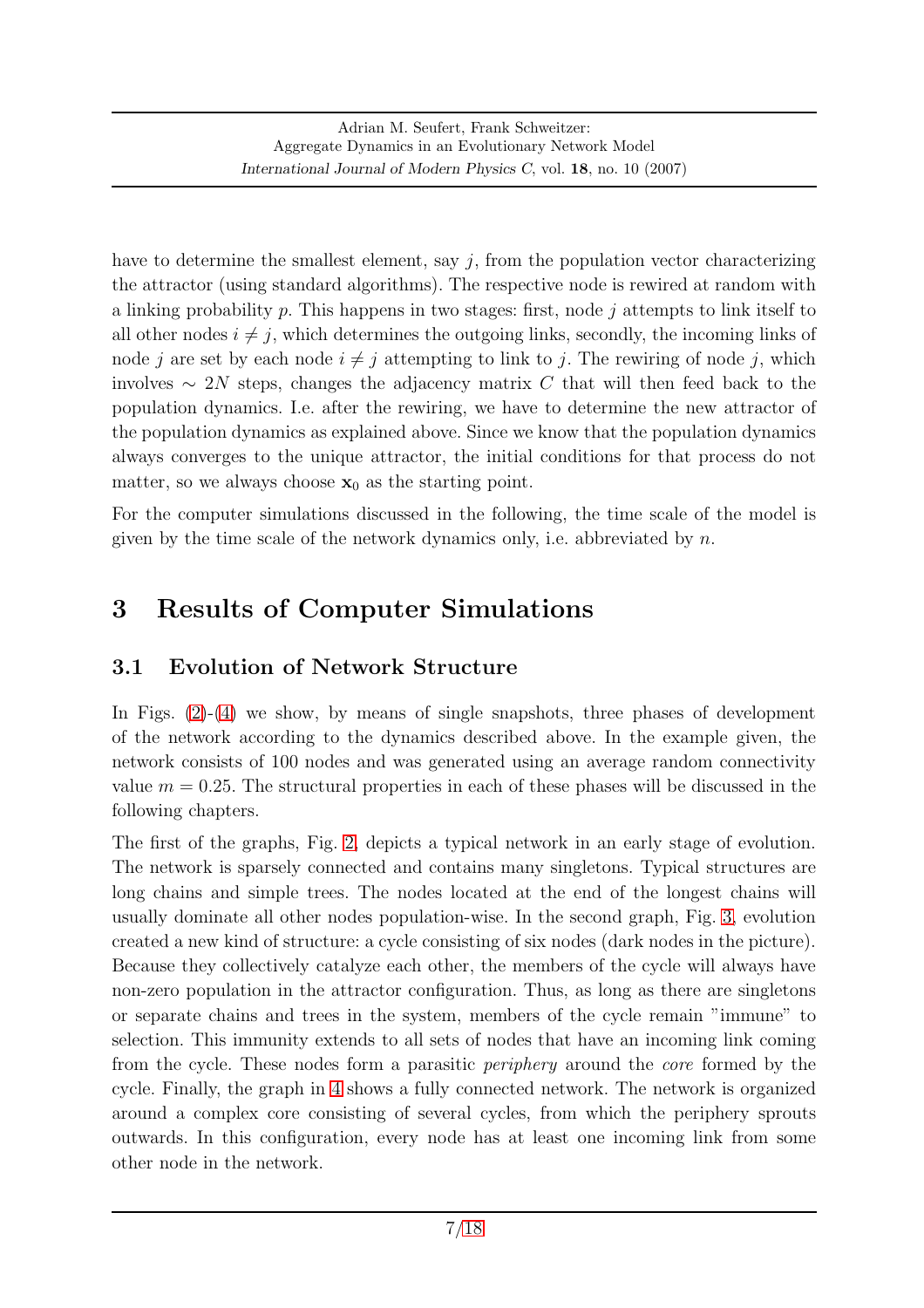have to determine the smallest element, say  $j$ , from the population vector characterizing the attractor (using standard algorithms). The respective node is rewired at random with a linking probability  $p$ . This happens in two stages: first, node  $j$  attempts to link itself to all other nodes  $i \neq j$ , which determines the outgoing links, secondly, the incoming links of node j are set by each node  $i \neq j$  attempting to link to j. The rewiring of node j, which involves  $\sim 2N$  steps, changes the adjacency matrix C that will then feed back to the population dynamics. I.e. after the rewiring, we have to determine the new attractor of the population dynamics as explained above. Since we know that the population dynamics always converges to the unique attractor, the initial conditions for that process do not matter, so we always choose  $x_0$  as the starting point.

For the computer simulations discussed in the following, the time scale of the model is given by the time scale of the network dynamics only, i.e. abbreviated by  $n$ .

# <span id="page-6-0"></span>3 Results of Computer Simulations

## 3.1 Evolution of Network Structure

In Figs. [\(2\)](#page-7-0)-[\(4\)](#page-9-0) we show, by means of single snapshots, three phases of development of the network according to the dynamics described above. In the example given, the network consists of 100 nodes and was generated using an average random connectivity value  $m = 0.25$ . The structural properties in each of these phases will be discussed in the following chapters.

The first of the graphs, Fig. [2,](#page-7-0) depicts a typical network in an early stage of evolution. The network is sparsely connected and contains many singletons. Typical structures are long chains and simple trees. The nodes located at the end of the longest chains will usually dominate all other nodes population-wise. In the second graph, Fig. [3,](#page-8-0) evolution created a new kind of structure: a cycle consisting of six nodes (dark nodes in the picture). Because they collectively catalyze each other, the members of the cycle will always have non-zero population in the attractor configuration. Thus, as long as there are singletons or separate chains and trees in the system, members of the cycle remain "immune" to selection. This immunity extends to all sets of nodes that have an incoming link coming from the cycle. These nodes form a parasitic periphery around the core formed by the cycle. Finally, the graph in [4](#page-9-0) shows a fully connected network. The network is organized around a complex core consisting of several cycles, from which the periphery sprouts outwards. In this configuration, every node has at least one incoming link from some other node in the network.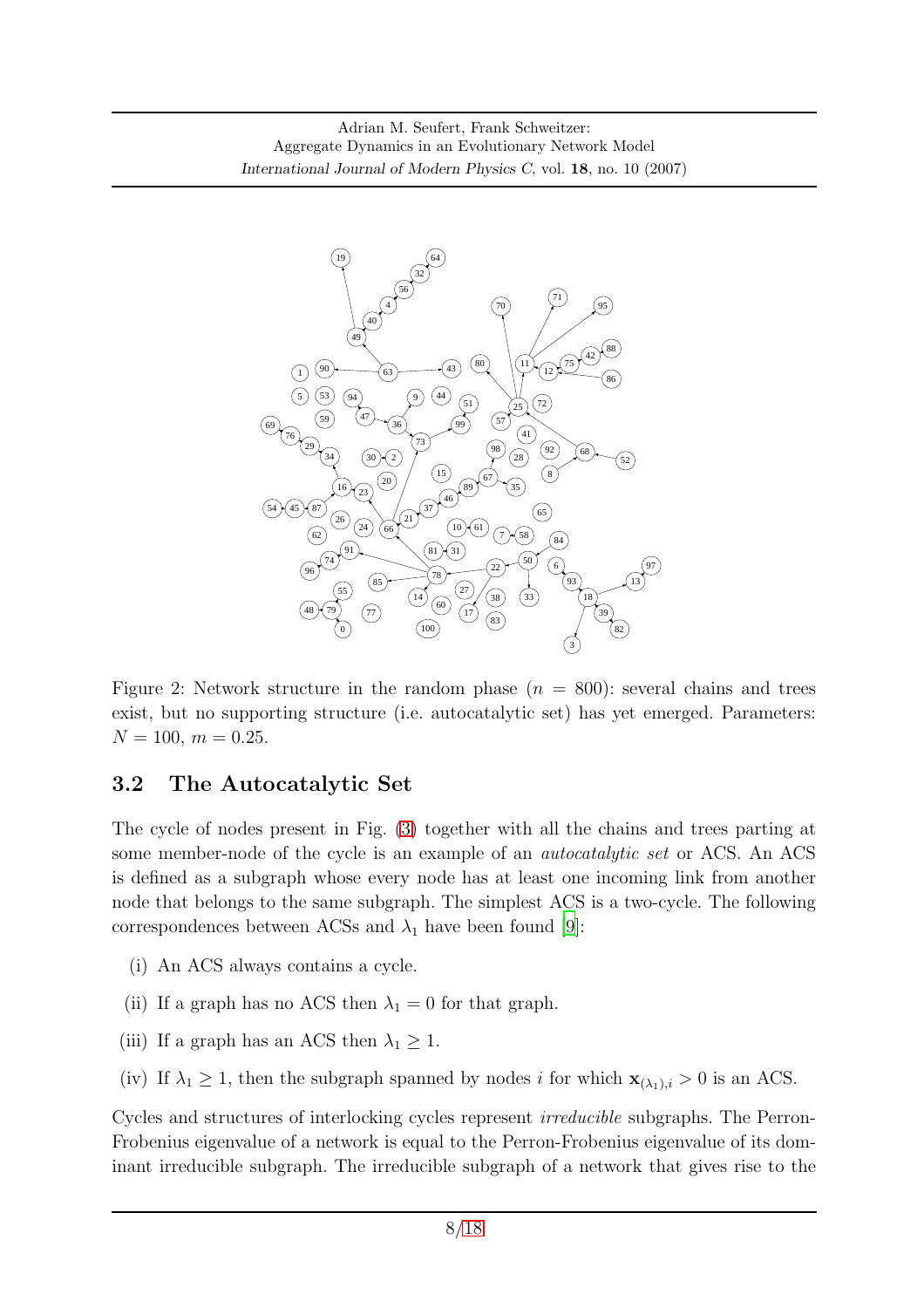

<span id="page-7-0"></span>Figure 2: Network structure in the random phase  $(n = 800)$ : several chains and trees exist, but no supporting structure (i.e. autocatalytic set) has yet emerged. Parameters:  $N = 100, m = 0.25.$ 

### 3.2 The Autocatalytic Set

The cycle of nodes present in Fig. [\(3\)](#page-8-0) together with all the chains and trees parting at some member-node of the cycle is an example of an *autocatalytic set* or ACS. An ACS is defined as a subgraph whose every node has at least one incoming link from another node that belongs to the same subgraph. The simplest ACS is a two-cycle. The following correspondences between ACSs and  $\lambda_1$  have been found [\[9](#page-16-0)]:

- (i) An ACS always contains a cycle.
- (ii) If a graph has no ACS then  $\lambda_1 = 0$  for that graph.
- (iii) If a graph has an ACS then  $\lambda_1 \geq 1$ .
- (iv) If  $\lambda_1 \geq 1$ , then the subgraph spanned by nodes i for which  $\mathbf{x}_{(\lambda_1),i} > 0$  is an ACS.

Cycles and structures of interlocking cycles represent irreducible subgraphs. The Perron-Frobenius eigenvalue of a network is equal to the Perron-Frobenius eigenvalue of its dominant irreducible subgraph. The irreducible subgraph of a network that gives rise to the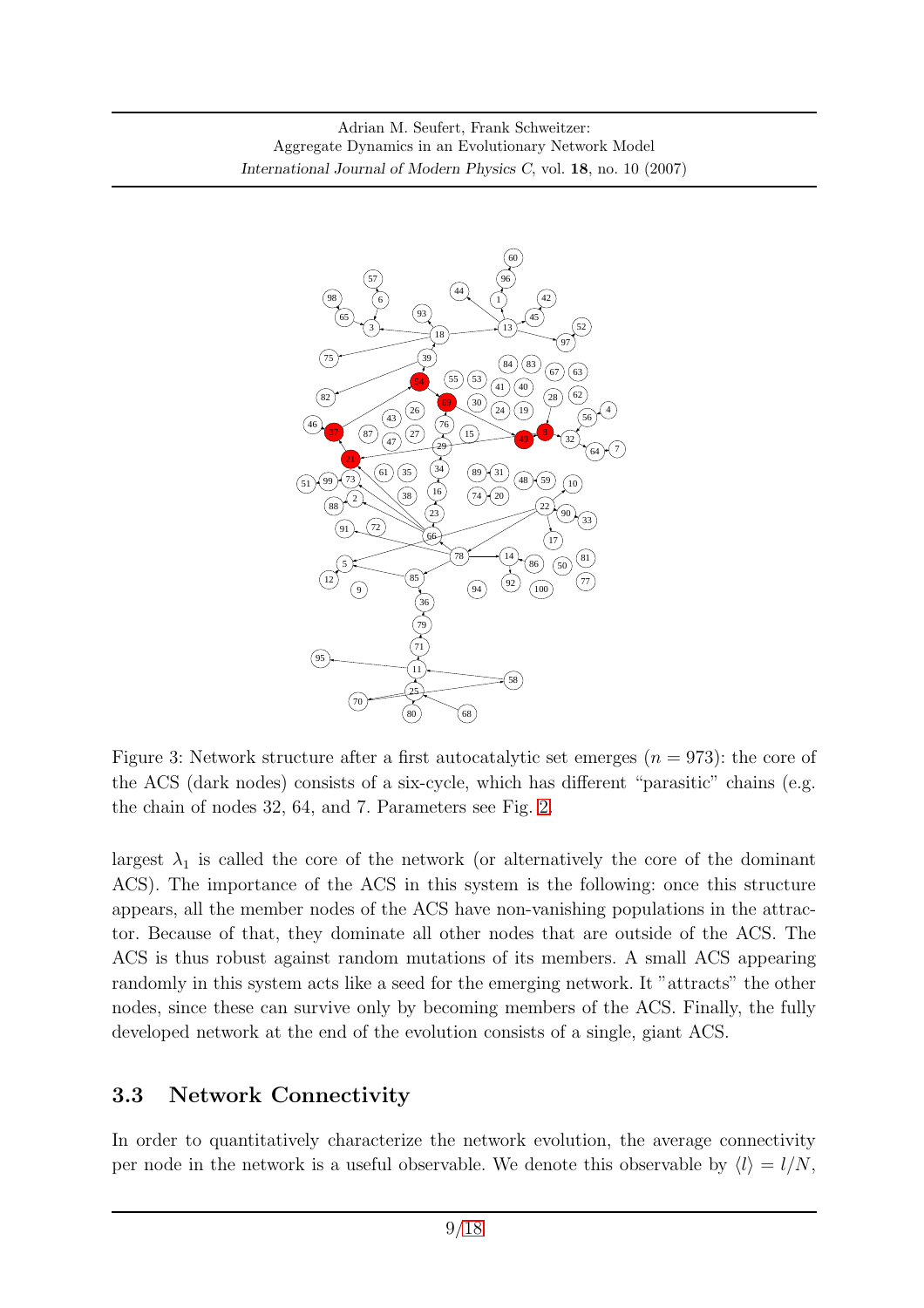

<span id="page-8-0"></span>Figure 3: Network structure after a first autocatalytic set emerges  $(n = 973)$ : the core of the ACS (dark nodes) consists of a six-cycle, which has different "parasitic" chains (e.g. the chain of nodes 32, 64, and 7. Parameters see Fig. [2.](#page-7-0)

largest  $\lambda_1$  is called the core of the network (or alternatively the core of the dominant ACS). The importance of the ACS in this system is the following: once this structure appears, all the member nodes of the ACS have non-vanishing populations in the attractor. Because of that, they dominate all other nodes that are outside of the ACS. The ACS is thus robust against random mutations of its members. A small ACS appearing randomly in this system acts like a seed for the emerging network. It "attracts" the other nodes, since these can survive only by becoming members of the ACS. Finally, the fully developed network at the end of the evolution consists of a single, giant ACS.

#### 3.3 Network Connectivity

In order to quantitatively characterize the network evolution, the average connectivity per node in the network is a useful observable. We denote this observable by  $\langle l \rangle = l/N$ ,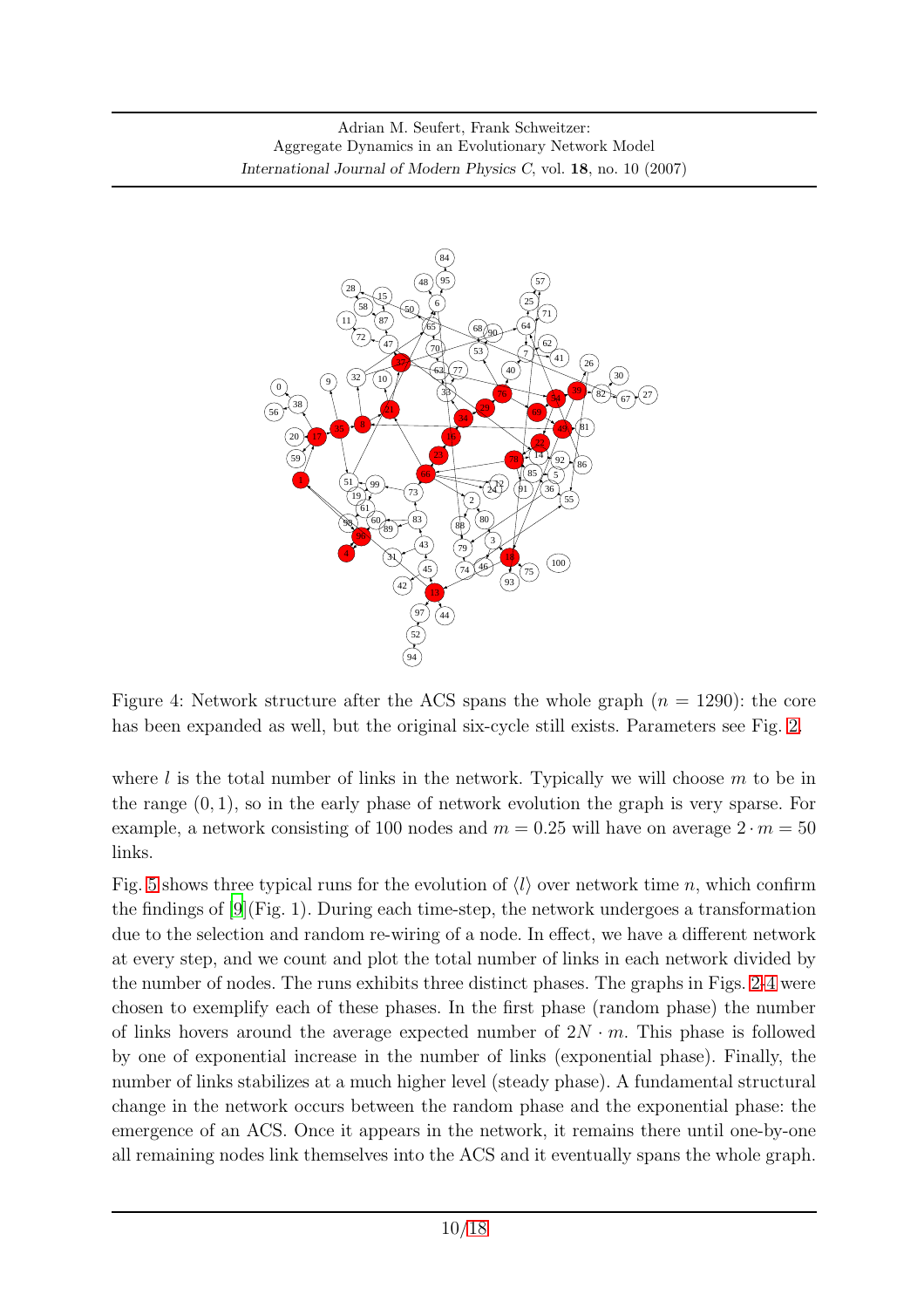

<span id="page-9-0"></span>Figure 4: Network structure after the ACS spans the whole graph  $(n = 1290)$ : the core has been expanded as well, but the original six-cycle still exists. Parameters see Fig. [2.](#page-7-0)

where  $l$  is the total number of links in the network. Typically we will choose  $m$  to be in the range  $(0, 1)$ , so in the early phase of network evolution the graph is very sparse. For example, a network consisting of 100 nodes and  $m = 0.25$  will have on average  $2 \cdot m = 50$ links.

Fig. [5](#page-10-0) shows three typical runs for the evolution of  $\langle l \rangle$  over network time n, which confirm the findings of  $[9]$ (Fig. 1). During each time-step, the network undergoes a transformation due to the selection and random re-wiring of a node. In effect, we have a different network at every step, and we count and plot the total number of links in each network divided by the number of nodes. The runs exhibits three distinct phases. The graphs in Figs. [2-](#page-7-0)[4](#page-9-0) were chosen to exemplify each of these phases. In the first phase (random phase) the number of links hovers around the average expected number of  $2N \cdot m$ . This phase is followed by one of exponential increase in the number of links (exponential phase). Finally, the number of links stabilizes at a much higher level (steady phase). A fundamental structural change in the network occurs between the random phase and the exponential phase: the emergence of an ACS. Once it appears in the network, it remains there until one-by-one all remaining nodes link themselves into the ACS and it eventually spans the whole graph.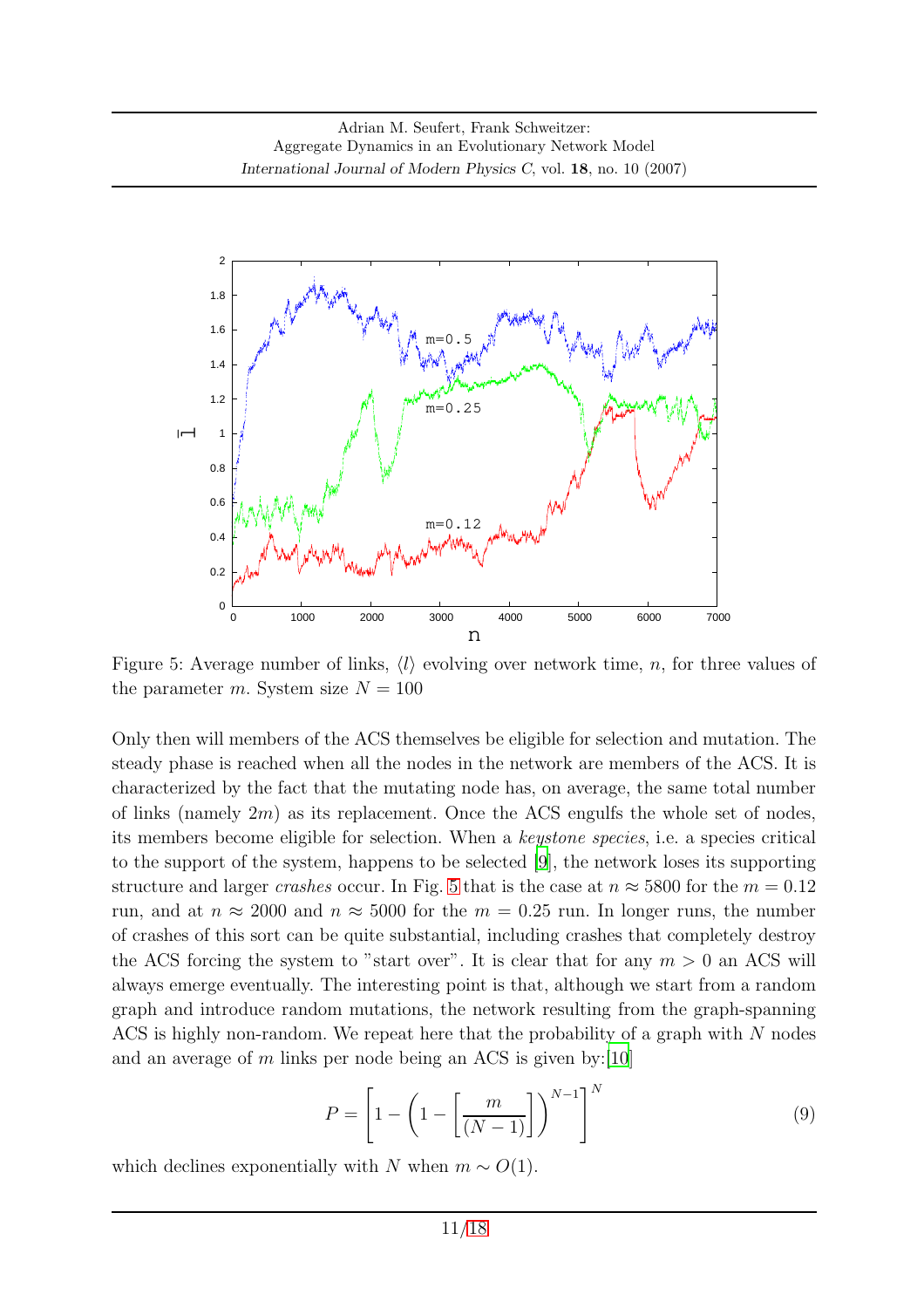

<span id="page-10-0"></span>Figure 5: Average number of links,  $\langle l \rangle$  evolving over network time, n, for three values of the parameter  $m$ . System size  $N = 100$ 

Only then will members of the ACS themselves be eligible for selection and mutation. The steady phase is reached when all the nodes in the network are members of the ACS. It is characterized by the fact that the mutating node has, on average, the same total number of links (namely  $2m$ ) as its replacement. Once the ACS engulfs the whole set of nodes, its members become eligible for selection. When a keystone species, i.e. a species critical to the support of the system, happens to be selected [\[9\]](#page-16-0), the network loses its supporting structure and larger crashes occur. In Fig. [5](#page-10-0) that is the case at  $n \approx 5800$  for the  $m = 0.12$ run, and at  $n \approx 2000$  and  $n \approx 5000$  for the  $m = 0.25$  run. In longer runs, the number of crashes of this sort can be quite substantial, including crashes that completely destroy the ACS forcing the system to "start over". It is clear that for any  $m > 0$  an ACS will always emerge eventually. The interesting point is that, although we start from a random graph and introduce random mutations, the network resulting from the graph-spanning ACS is highly non-random. We repeat here that the probability of a graph with  $N$  nodes and an average of m links per node being an ACS is given by: [\[10\]](#page-16-1)

$$
P = \left[1 - \left(1 - \left[\frac{m}{(N-1)}\right]\right)^{N-1}\right]^N\tag{9}
$$

which declines exponentially with N when  $m \sim O(1)$ .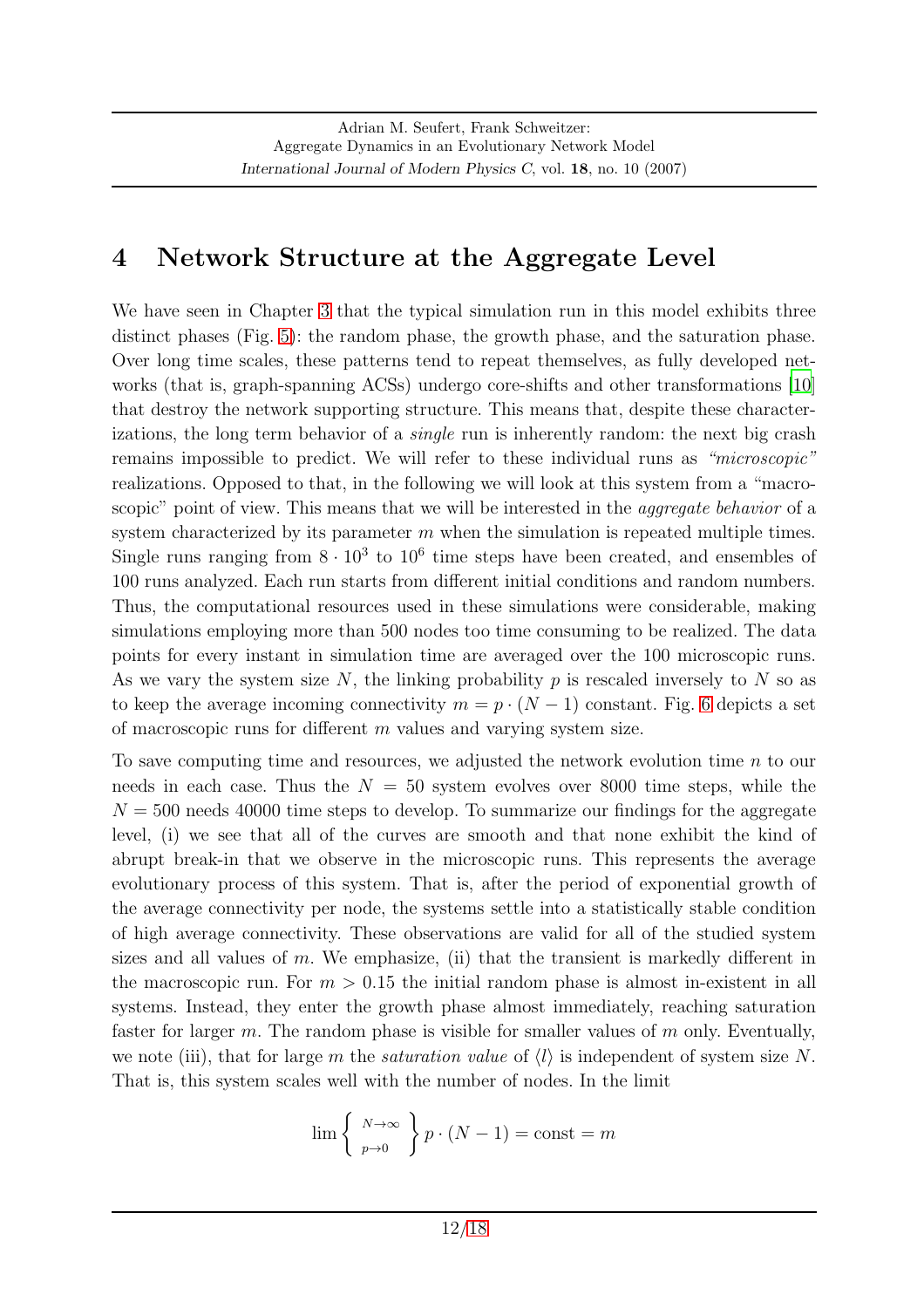## <span id="page-11-0"></span>4 Network Structure at the Aggregate Level

We have seen in Chapter [3](#page-6-0) that the typical simulation run in this model exhibits three distinct phases (Fig. [5\)](#page-10-0): the random phase, the growth phase, and the saturation phase. Over long time scales, these patterns tend to repeat themselves, as fully developed networks (that is, graph-spanning ACSs) undergo core-shifts and other transformations [\[10](#page-16-1)] that destroy the network supporting structure. This means that, despite these characterizations, the long term behavior of a *single* run is inherently random: the next big crash remains impossible to predict. We will refer to these individual runs as "microscopic" realizations. Opposed to that, in the following we will look at this system from a "macroscopic" point of view. This means that we will be interested in the *aggregate behavior* of a system characterized by its parameter  $m$  when the simulation is repeated multiple times. Single runs ranging from  $8 \cdot 10^3$  to  $10^6$  time steps have been created, and ensembles of 100 runs analyzed. Each run starts from different initial conditions and random numbers. Thus, the computational resources used in these simulations were considerable, making simulations employing more than 500 nodes too time consuming to be realized. The data points for every instant in simulation time are averaged over the 100 microscopic runs. As we vary the system size N, the linking probability  $p$  is rescaled inversely to N so as to keep the average incoming connectivity  $m = p \cdot (N - 1)$  constant. Fig. [6](#page-12-0) depicts a set of macroscopic runs for different m values and varying system size.

To save computing time and resources, we adjusted the network evolution time n to our needs in each case. Thus the  $N = 50$  system evolves over 8000 time steps, while the  $N = 500$  needs 40000 time steps to develop. To summarize our findings for the aggregate level, (i) we see that all of the curves are smooth and that none exhibit the kind of abrupt break-in that we observe in the microscopic runs. This represents the average evolutionary process of this system. That is, after the period of exponential growth of the average connectivity per node, the systems settle into a statistically stable condition of high average connectivity. These observations are valid for all of the studied system sizes and all values of  $m$ . We emphasize, (ii) that the transient is markedly different in the macroscopic run. For  $m > 0.15$  the initial random phase is almost in-existent in all systems. Instead, they enter the growth phase almost immediately, reaching saturation faster for larger  $m$ . The random phase is visible for smaller values of  $m$  only. Eventually, we note (iii), that for large m the *saturation value* of  $\langle l \rangle$  is independent of system size N. That is, this system scales well with the number of nodes. In the limit

$$
\lim_{p \to 0} \left\{ \begin{array}{l} N \to \infty \\ p \to 0 \end{array} \right\} p \cdot (N-1) = \text{const} = m
$$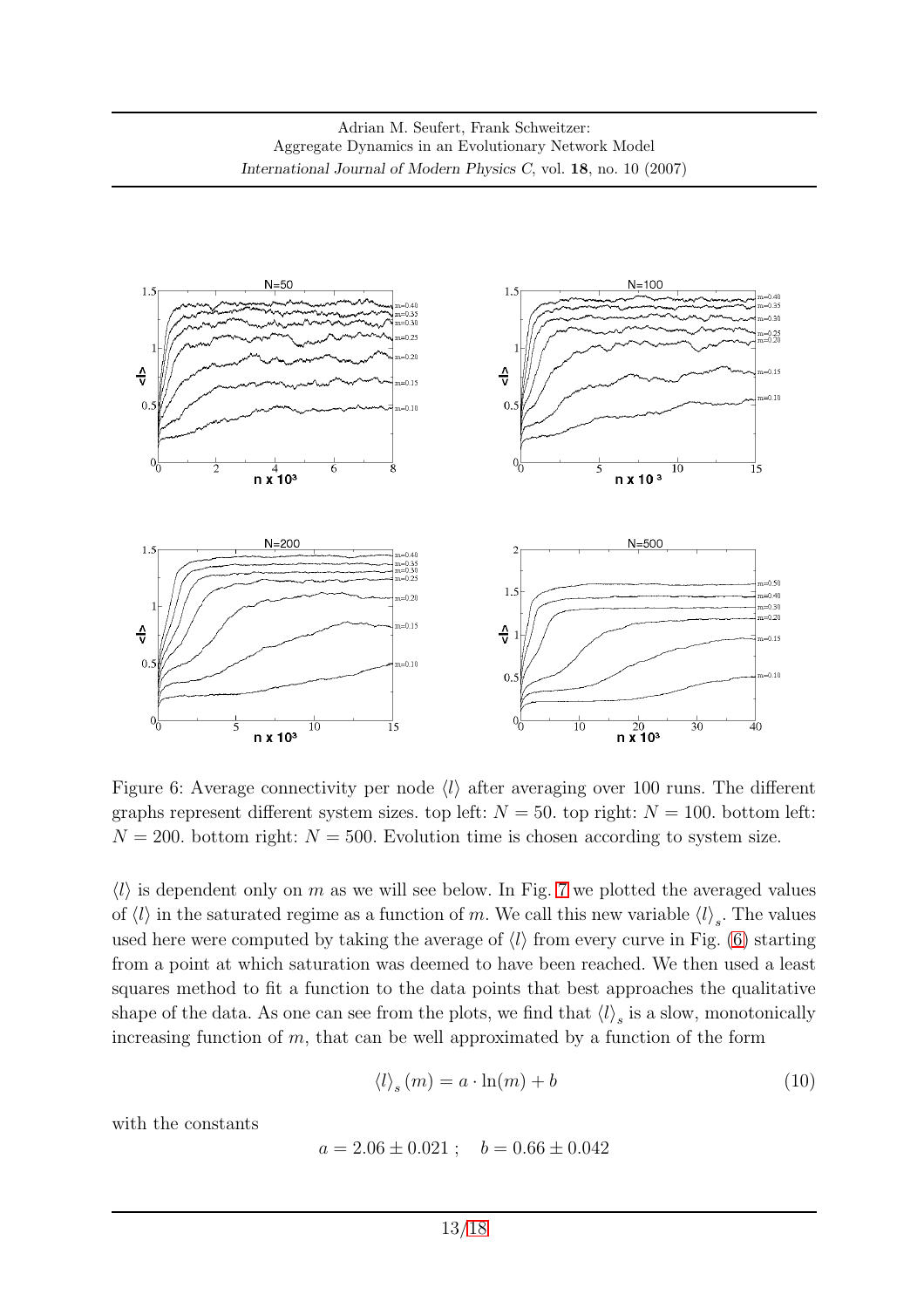

<span id="page-12-0"></span>Figure 6: Average connectivity per node  $\langle l \rangle$  after averaging over 100 runs. The different graphs represent different system sizes. top left:  $N = 50$ . top right:  $N = 100$ . bottom left:  $N = 200$ . bottom right:  $N = 500$ . Evolution time is chosen according to system size.

 $\langle l \rangle$  is dependent only on m as we will see below. In Fig. [7](#page-13-1) we plotted the averaged values of  $\langle l \rangle$  in the saturated regime as a function of m. We call this new variable  $\langle l \rangle_s$ . The values used here were computed by taking the average of  $\langle l \rangle$  from every curve in Fig. [\(6\)](#page-12-0) starting from a point at which saturation was deemed to have been reached. We then used a least squares method to fit a function to the data points that best approaches the qualitative shape of the data. As one can see from the plots, we find that  $\langle l \rangle_s$  is a slow, monotonically increasing function of  $m$ , that can be well approximated by a function of the form

<span id="page-12-1"></span>
$$
\langle l \rangle_s(m) = a \cdot \ln(m) + b \tag{10}
$$

with the constants

$$
a = 2.06 \pm 0.021 ; \quad b = 0.66 \pm 0.042
$$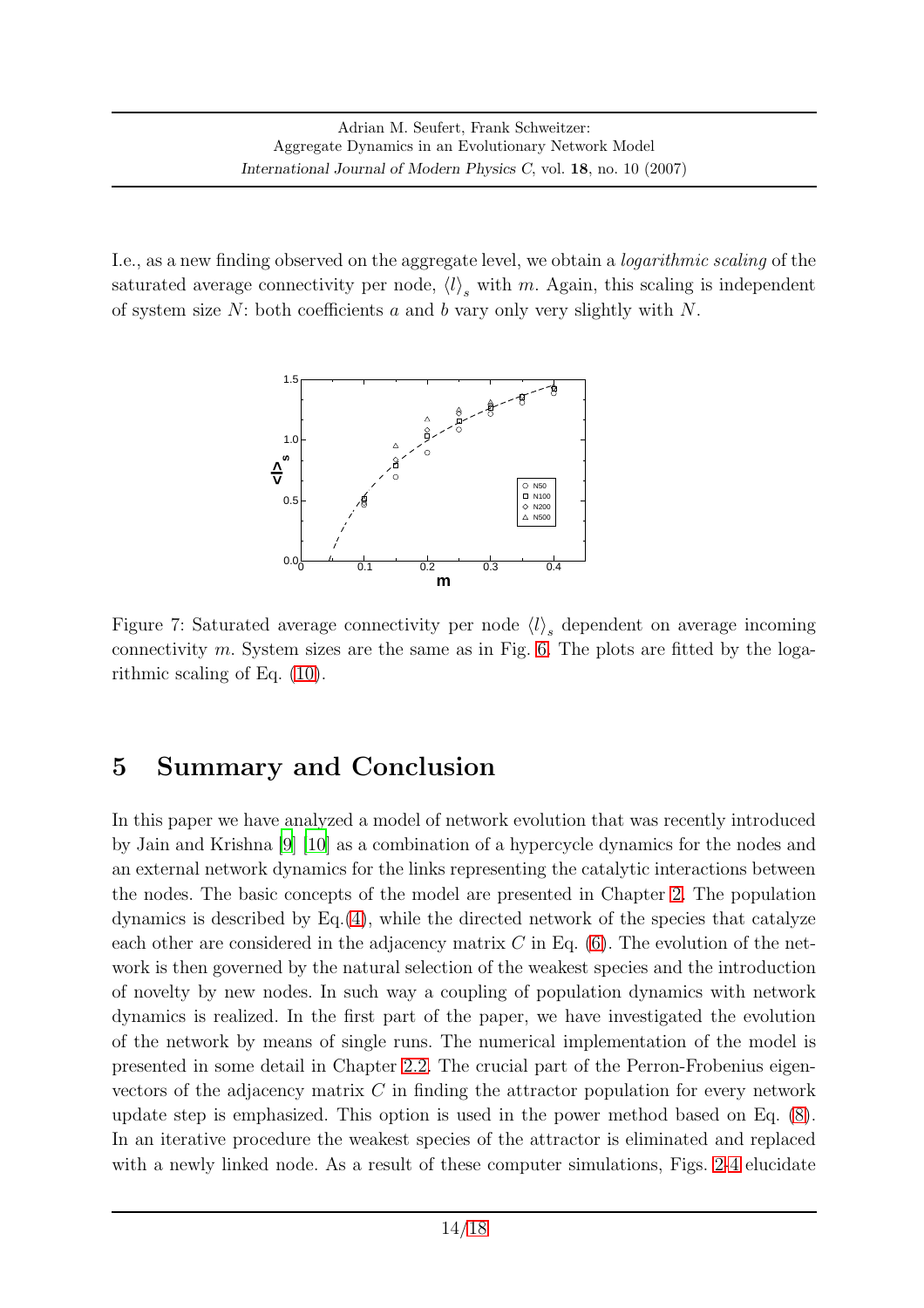I.e., as a new finding observed on the aggregate level, we obtain a logarithmic scaling of the saturated average connectivity per node,  $\langle l \rangle_s$  with m. Again, this scaling is independent of system size  $N$ : both coefficients  $a$  and  $b$  vary only very slightly with  $N$ .



<span id="page-13-1"></span>Figure 7: Saturated average connectivity per node  $\langle l \rangle_s$  dependent on average incoming connectivity m. System sizes are the same as in Fig.  $6$ . The plots are fitted by the logarithmic scaling of Eq. [\(10\)](#page-12-1).

## <span id="page-13-0"></span>5 Summary and Conclusion

In this paper we have analyzed a model of network evolution that was recently introduced by Jain and Krishna [\[9](#page-16-0)] [\[10\]](#page-16-1) as a combination of a hypercycle dynamics for the nodes and an external network dynamics for the links representing the catalytic interactions between the nodes. The basic concepts of the model are presented in Chapter [2.](#page-2-0) The population dynamics is described by  $Eq.(4)$  $Eq.(4)$ , while the directed network of the species that catalyze each other are considered in the adjacency matrix  $C$  in Eq. [\(6\)](#page-3-1). The evolution of the network is then governed by the natural selection of the weakest species and the introduction of novelty by new nodes. In such way a coupling of population dynamics with network dynamics is realized. In the first part of the paper, we have investigated the evolution of the network by means of single runs. The numerical implementation of the model is presented in some detail in Chapter [2.2.](#page-4-0) The crucial part of the Perron-Frobenius eigenvectors of the adjacency matrix  $C$  in finding the attractor population for every network update step is emphasized. This option is used in the power method based on Eq. [\(8\)](#page-5-0). In an iterative procedure the weakest species of the attractor is eliminated and replaced with a newly linked node. As a result of these computer simulations, Figs. [2](#page-7-0)[-4](#page-9-0) elucidate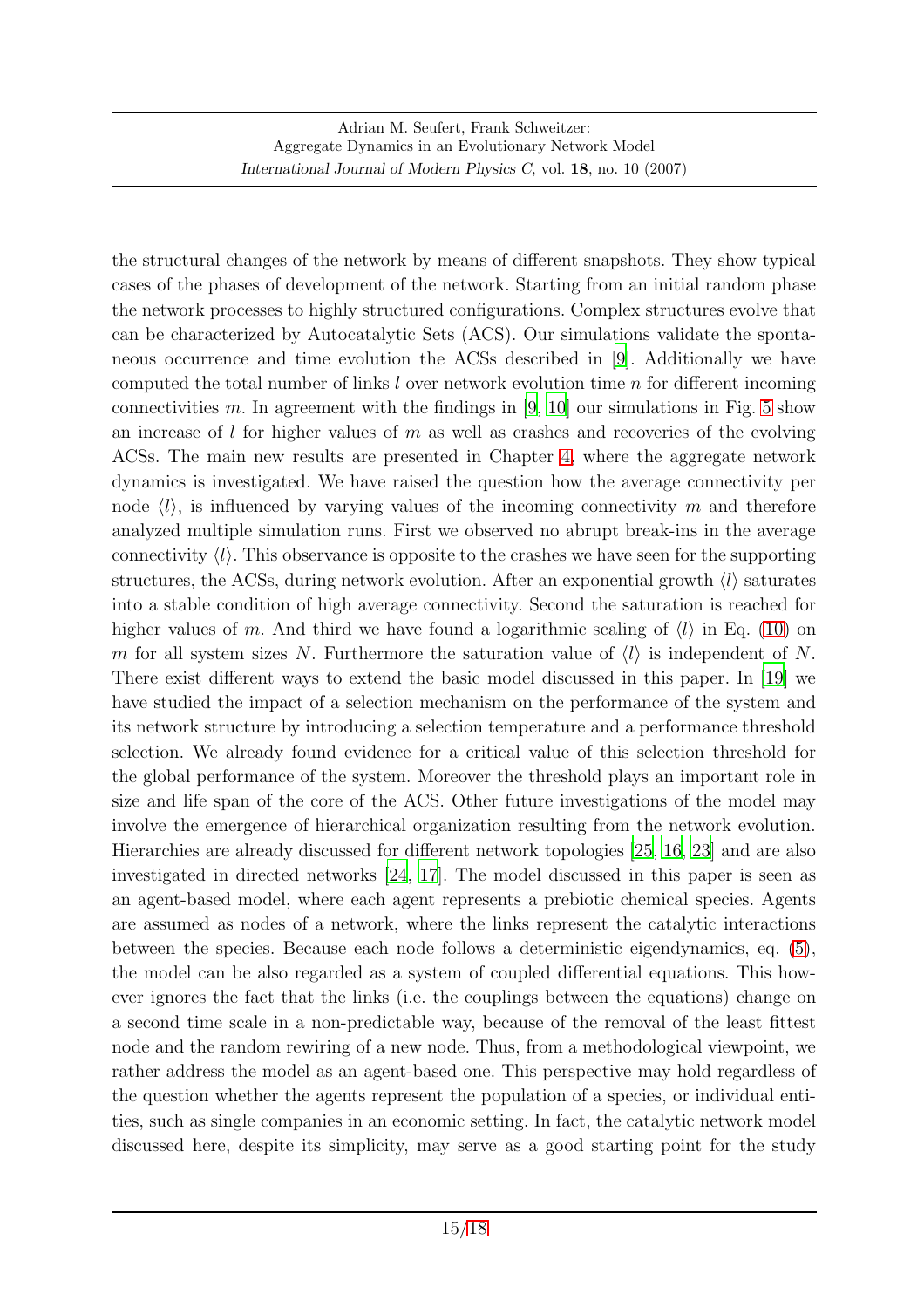the structural changes of the network by means of different snapshots. They show typical cases of the phases of development of the network. Starting from an initial random phase the network processes to highly structured configurations. Complex structures evolve that can be characterized by Autocatalytic Sets (ACS). Our simulations validate the spontaneous occurrence and time evolution the ACSs described in [\[9\]](#page-16-0). Additionally we have computed the total number of links l over network evolution time n for different incoming connectivities m. In agreement with the findings in  $[9, 10]$  $[9, 10]$  $[9, 10]$  our simulations in Fig. [5](#page-10-0) show an increase of  $l$  for higher values of  $m$  as well as crashes and recoveries of the evolving ACSs. The main new results are presented in Chapter [4,](#page-11-0) where the aggregate network dynamics is investigated. We have raised the question how the average connectivity per node  $\langle l \rangle$ , is influenced by varying values of the incoming connectivity m and therefore analyzed multiple simulation runs. First we observed no abrupt break-ins in the average connectivity  $\langle l \rangle$ . This observance is opposite to the crashes we have seen for the supporting structures, the ACSs, during network evolution. After an exponential growth  $\langle l \rangle$  saturates into a stable condition of high average connectivity. Second the saturation is reached for higher values of m. And third we have found a logarithmic scaling of  $\langle l \rangle$  in Eq. [\(10\)](#page-12-1) on m for all system sizes N. Furthermore the saturation value of  $\langle l \rangle$  is independent of N. There exist different ways to extend the basic model discussed in this paper. In [\[19\]](#page-16-9) we have studied the impact of a selection mechanism on the performance of the system and its network structure by introducing a selection temperature and a performance threshold selection. We already found evidence for a critical value of this selection threshold for the global performance of the system. Moreover the threshold plays an important role in size and life span of the core of the ACS. Other future investigations of the model may involve the emergence of hierarchical organization resulting from the network evolution. Hierarchies are already discussed for different network topologies [\[25](#page-17-4), [16,](#page-16-10) [23\]](#page-17-5) and are also investigated in directed networks [\[24](#page-17-6), [17\]](#page-16-11). The model discussed in this paper is seen as an agent-based model, where each agent represents a prebiotic chemical species. Agents are assumed as nodes of a network, where the links represent the catalytic interactions between the species. Because each node follows a deterministic eigendynamics, eq. [\(5\)](#page-2-4), the model can be also regarded as a system of coupled differential equations. This however ignores the fact that the links (i.e. the couplings between the equations) change on a second time scale in a non-predictable way, because of the removal of the least fittest node and the random rewiring of a new node. Thus, from a methodological viewpoint, we rather address the model as an agent-based one. This perspective may hold regardless of the question whether the agents represent the population of a species, or individual entities, such as single companies in an economic setting. In fact, the catalytic network model discussed here, despite its simplicity, may serve as a good starting point for the study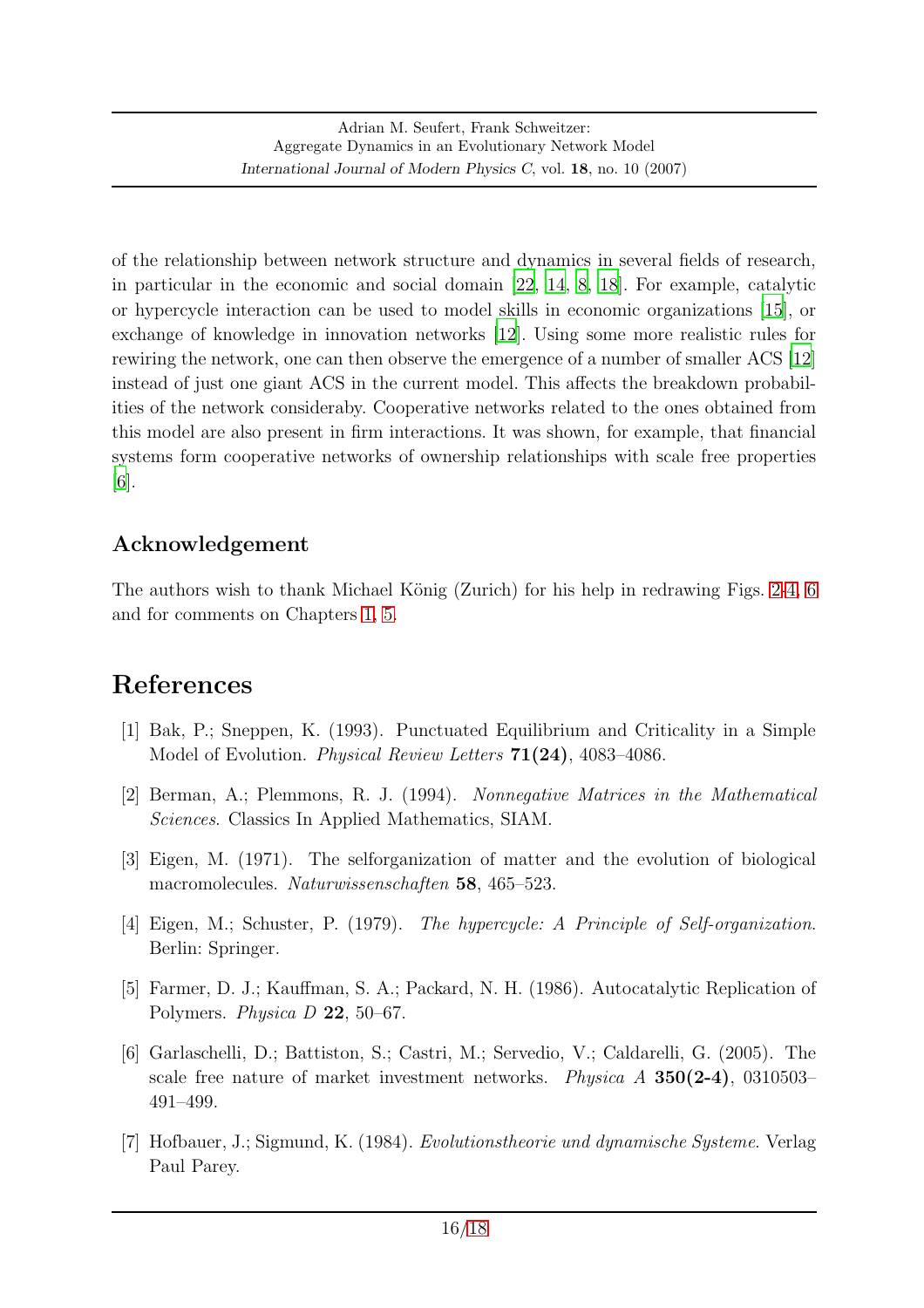of the relationship between network structure and dynamics in several fields of research, in particular in the economic and social domain [\[22](#page-17-2), [14](#page-16-3), [8](#page-16-2), [18](#page-16-5)]. For example, catalytic or hypercycle interaction can be used to model skills in economic organizations [\[15](#page-16-12)], or exchange of knowledge in innovation networks [\[12\]](#page-16-4). Using some more realistic rules for rewiring the network, one can then observe the emergence of a number of smaller ACS [\[12](#page-16-4)] instead of just one giant ACS in the current model. This affects the breakdown probabilities of the network consideraby. Cooperative networks related to the ones obtained from this model are also present in firm interactions. It was shown, for example, that financial systems form cooperative networks of ownership relationships with scale free properties [6].

### Acknowledgement

The authors wish to thank Michael König (Zurich) for his help in redrawing Figs. [2-](#page-7-0)[4,](#page-9-0) [6](#page-12-0) and for comments on Chapters [1,](#page-0-0) [5.](#page-13-0)

## References

- <span id="page-15-4"></span>[1] Bak, P.; Sneppen, K. (1993). Punctuated Equilibrium and Criticality in a Simple Model of Evolution. Physical Review Letters 71(24), 4083–4086.
- <span id="page-15-5"></span>[2] Berman, A.; Plemmons, R. J. (1994). Nonnegative Matrices in the Mathematical Sciences. Classics In Applied Mathematics, SIAM.
- <span id="page-15-0"></span>[3] Eigen, M. (1971). The selforganization of matter and the evolution of biological macromolecules. Naturwissenschaften 58, 465–523.
- <span id="page-15-1"></span>[4] Eigen, M.; Schuster, P. (1979). The hypercycle: A Principle of Self-organization. Berlin: Springer.
- <span id="page-15-3"></span>[5] Farmer, D. J.; Kauffman, S. A.; Packard, N. H. (1986). Autocatalytic Replication of Polymers. Physica D 22, 50–67.
- [6] Garlaschelli, D.; Battiston, S.; Castri, M.; Servedio, V.; Caldarelli, G. (2005). The scale free nature of market investment networks. *Physica A*  $350(2-4)$ , 0310503– 491–499.
- <span id="page-15-2"></span>[7] Hofbauer, J.; Sigmund, K. (1984). Evolutionstheorie und dynamische Systeme. Verlag Paul Parey.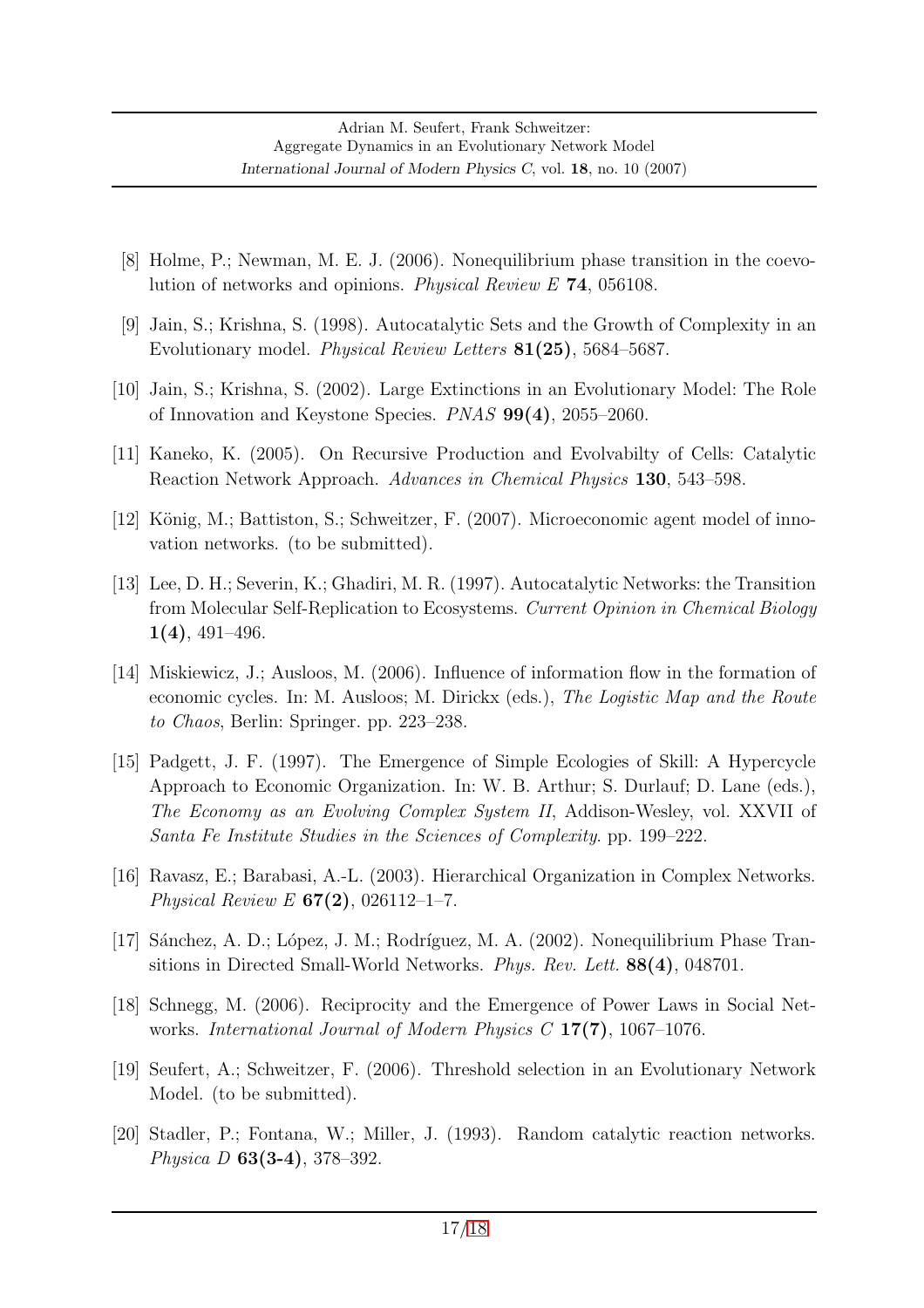- <span id="page-16-2"></span>[8] Holme, P.; Newman, M. E. J. (2006). Nonequilibrium phase transition in the coevolution of networks and opinions. Physical Review E 74, 056108.
- <span id="page-16-0"></span>[9] Jain, S.; Krishna, S. (1998). Autocatalytic Sets and the Growth of Complexity in an Evolutionary model. Physical Review Letters 81(25), 5684–5687.
- <span id="page-16-1"></span>[10] Jain, S.; Krishna, S. (2002). Large Extinctions in an Evolutionary Model: The Role of Innovation and Keystone Species. PNAS 99(4), 2055–2060.
- <span id="page-16-6"></span>[11] Kaneko, K. (2005). On Recursive Production and Evolvabilty of Cells: Catalytic Reaction Network Approach. Advances in Chemical Physics 130, 543–598.
- <span id="page-16-4"></span>[12] König, M.; Battiston, S.; Schweitzer, F. (2007). Microeconomic agent model of innovation networks. (to be submitted).
- <span id="page-16-7"></span>[13] Lee, D. H.; Severin, K.; Ghadiri, M. R. (1997). Autocatalytic Networks: the Transition from Molecular Self-Replication to Ecosystems. Current Opinion in Chemical Biology 1(4), 491–496.
- <span id="page-16-3"></span>[14] Miskiewicz, J.; Ausloos, M. (2006). Influence of information flow in the formation of economic cycles. In: M. Ausloos; M. Dirickx (eds.), The Logistic Map and the Route to Chaos, Berlin: Springer. pp. 223–238.
- <span id="page-16-12"></span>[15] Padgett, J. F. (1997). The Emergence of Simple Ecologies of Skill: A Hypercycle Approach to Economic Organization. In: W. B. Arthur; S. Durlauf; D. Lane (eds.), The Economy as an Evolving Complex System II, Addison-Wesley, vol. XXVII of Santa Fe Institute Studies in the Sciences of Complexity. pp. 199–222.
- <span id="page-16-10"></span>[16] Ravasz, E.; Barabasi, A.-L. (2003). Hierarchical Organization in Complex Networks. Physical Review E  $67(2)$ , 026112-1-7.
- <span id="page-16-11"></span>[17] S´anchez, A. D.; L´opez, J. M.; Rodr´ıguez, M. A. (2002). Nonequilibrium Phase Transitions in Directed Small-World Networks. Phys. Rev. Lett. 88(4), 048701.
- <span id="page-16-5"></span>[18] Schnegg, M. (2006). Reciprocity and the Emergence of Power Laws in Social Networks. International Journal of Modern Physics C 17(7), 1067–1076.
- <span id="page-16-9"></span>[19] Seufert, A.; Schweitzer, F. (2006). Threshold selection in an Evolutionary Network Model. (to be submitted).
- <span id="page-16-8"></span>[20] Stadler, P.; Fontana, W.; Miller, J. (1993). Random catalytic reaction networks. Physica D 63(3-4), 378–392.